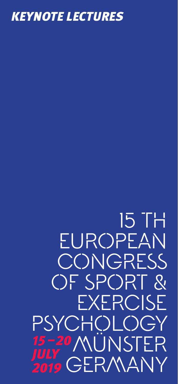

# 15–20 MÜNSTER *JULY 2019* Germany15 TH EUROPEAN **CONGRESS** of Sport & Exercise PSYCHOLOGY